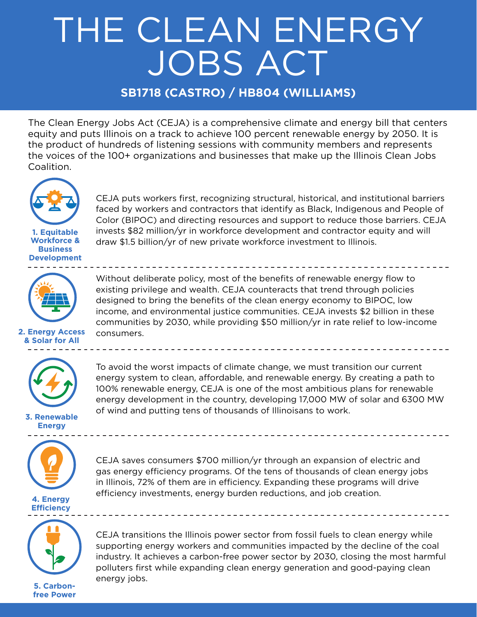# THE CLEAN ENERGY JOBS ACT

### **SB1718 (CASTRO) / HB804 (WILLIAMS)**

The Clean Energy Jobs Act (CEJA) is a comprehensive climate and energy bill that centers equity and puts Illinois on a track to achieve 100 percent renewable energy by 2050. It is the product of hundreds of listening sessions with community members and represents the voices of the 100+ organizations and businesses that make up the Illinois Clean Jobs Coalition.



**1. Equitable Workforce &**  CEJA puts workers first, recognizing structural, historical, and institutional barriers faced by workers and contractors that identify as Black, Indigenous and People of Color (BIPOC) and directing resources and support to reduce those barriers. CEJA invests \$82 million/yr in workforce development and contractor equity and will draw \$1.5 billion/yr of new private workforce investment to Illinois.



Without deliberate policy, most of the benefits of renewable energy flow to existing privilege and wealth. CEJA counteracts that trend through policies designed to bring the benefits of the clean energy economy to BIPOC, low income, and environmental justice communities. CEJA invests \$2 billion in these communities by 2030, while providing \$50 million/yr in rate relief to low-income consumers.

**2. Energy Access & Solar for All**



To avoid the worst impacts of climate change, we must transition our current energy system to clean, affordable, and renewable energy. By creating a path to 100% renewable energy, CEJA is one of the most ambitious plans for renewable energy development in the country, developing 17,000 MW of solar and 6300 MW of wind and putting tens of thousands of Illinoisans to work.



**Energy**

CEJA saves consumers \$700 million/yr through an expansion of electric and gas energy efficiency programs. Of the tens of thousands of clean energy jobs in Illinois, 72% of them are in efficiency. Expanding these programs will drive efficiency investments, energy burden reductions, and job creation.

**4. Energy Efficiency**



CEJA transitions the Illinois power sector from fossil fuels to clean energy while supporting energy workers and communities impacted by the decline of the coal industry. It achieves a carbon-free power sector by 2030, closing the most harmful polluters first while expanding clean energy generation and good-paying clean energy jobs.

**5. Carbonfree Power**